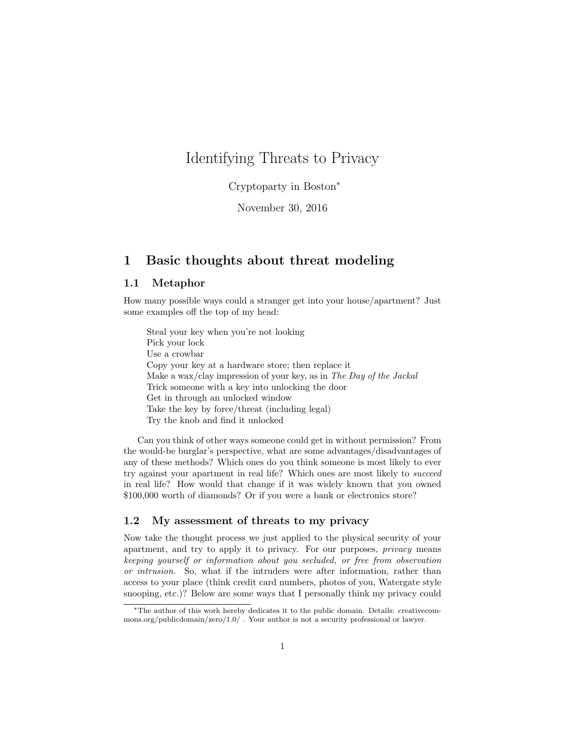# Identifying Threats to Privacy

Cryptoparty in Boston<sup>\*</sup>

November 30, 2016

### 1 Basic thoughts about threat modeling

#### 1.1 Metaphor

How many possible ways could a stranger get into your house/apartment? Just some examples off the top of my head:

Steal your key when you're not looking Pick your lock Use a crowbar Copy your key at a hardware store; then replace it Make a wax/clay impression of your key, as in *The Day of the Jackal* Trick someone with a key into unlocking the door Get in through an unlocked window Take the key by force/threat (including legal) Try the knob and find it unlocked

Can you think of other ways someone could get in without permission? From the would-be burglar's perspective, what are some advantages/disadvantages of any of these methods? Which ones do you think someone is most likely to ever try against your apartment in real life? Which ones are most likely to *succeed* in real life? How would that change if it was widely known that you owned \$100,000 worth of diamonds? Or if you were a bank or electronics store?

#### 1.2 My assessment of threats to my privacy

Now take the thought process we just applied to the physical security of your apartment, and try to apply it to privacy. For our purposes, *privacy* means *keeping yourself or information about you secluded, or free from observation or intrusion.* So, what if the intruders were after information, rather than access to your place (think credit card numbers, photos of you, Watergate style snooping, etc.)? Below are some ways that I personally think my privacy could

<sup>⇤</sup>The author of this work hereby dedicates it to the public domain. Details: creativecommons.org/publicdomain/zero/1.0/ . Your author is not a security professional or lawyer.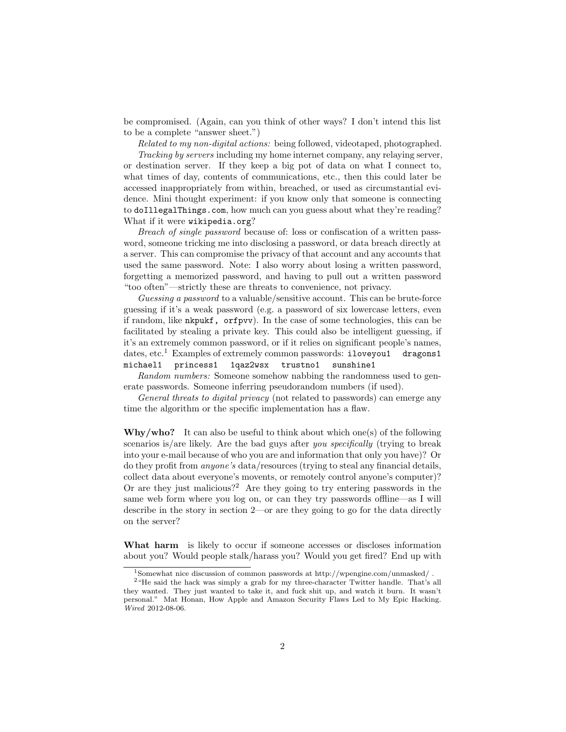be compromised. (Again, can you think of other ways? I don't intend this list to be a complete "answer sheet.")

*Related to my non-digital actions:* being followed, videotaped, photographed. *Tracking by servers* including my home internet company, any relaying server, or destination server. If they keep a big pot of data on what I connect to, what times of day, contents of communications, etc., then this could later be accessed inappropriately from within, breached, or used as circumstantial evidence. Mini thought experiment: if you know only that someone is connecting to doIllegalThings.com, how much can you guess about what they're reading? What if it were wikipedia.org?

*Breach of single password* because of: loss or confiscation of a written password, someone tricking me into disclosing a password, or data breach directly at a server. This can compromise the privacy of that account and any accounts that used the same password. Note: I also worry about losing a written password, forgetting a memorized password, and having to pull out a written password "too often"—strictly these are threats to convenience, not privacy.

*Guessing a password* to a valuable/sensitive account. This can be brute-force guessing if it's a weak password (e.g. a password of six lowercase letters, even if random, like nkpukf, orfpvv). In the case of some technologies, this can be facilitated by stealing a private key. This could also be intelligent guessing, if it's an extremely common password, or if it relies on significant people's names, dates, etc.<sup>1</sup> Examples of extremely common passwords:  $i$ loveyou1 dragons1 michael1 princess1 1qaz2wsx trustno1 sunshine1

*Random numbers:* Someone somehow nabbing the randomness used to generate passwords. Someone inferring pseudorandom numbers (if used).

*General threats to digital privacy* (not related to passwords) can emerge any time the algorithm or the specific implementation has a flaw.

 $Why/who?$  It can also be useful to think about which one(s) of the following scenarios is/are likely. Are the bad guys after *you specifically* (trying to break into your e-mail because of who you are and information that only you have)? Or do they profit from *anyone's* data/resources (trying to steal any financial details, collect data about everyone's movents, or remotely control anyone's computer)? Or are they just malicious?<sup>2</sup> Are they going to try entering passwords in the same web form where you log on, or can they try passwords offline—as I will describe in the story in section 2—or are they going to go for the data directly on the server?

What harm is likely to occur if someone accesses or discloses information about you? Would people stalk/harass you? Would you get fired? End up with

<sup>1</sup>Somewhat nice discussion of common passwords at http://wpengine.com/unmasked/ .

<sup>2</sup>"He said the hack was simply a grab for my three-character Twitter handle. That's all they wanted. They just wanted to take it, and fuck shit up, and watch it burn. It wasn't personal." Mat Honan, How Apple and Amazon Security Flaws Led to My Epic Hacking. *Wired* 2012-08-06.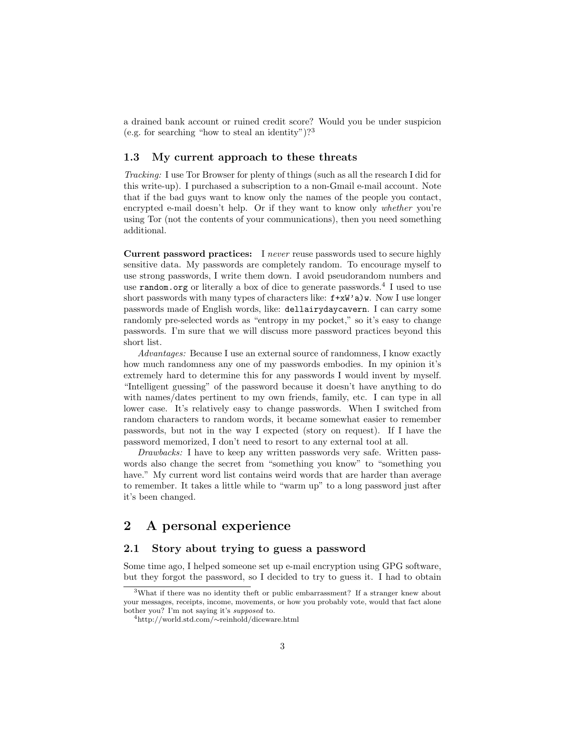a drained bank account or ruined credit score? Would you be under suspicion (e.g. for searching "how to steal an identity")?<sup>3</sup>

#### 1.3 My current approach to these threats

*Tracking:* I use Tor Browser for plenty of things (such as all the research I did for this write-up). I purchased a subscription to a non-Gmail e-mail account. Note that if the bad guys want to know only the names of the people you contact, encrypted e-mail doesn't help. Or if they want to know only *whether* you're using Tor (not the contents of your communications), then you need something additional.

Current password practices: I *never* reuse passwords used to secure highly sensitive data. My passwords are completely random. To encourage myself to use strong passwords, I write them down. I avoid pseudorandom numbers and use random.org or literally a box of dice to generate passwords.<sup>4</sup> I used to use short passwords with many types of characters like:  $f+ xW'$ a)w. Now I use longer passwords made of English words, like: dellairydaycavern. I can carry some randomly pre-selected words as "entropy in my pocket," so it's easy to change passwords. I'm sure that we will discuss more password practices beyond this short list.

*Advantages:* Because I use an external source of randomness, I know exactly how much randomness any one of my passwords embodies. In my opinion it's extremely hard to determine this for any passwords I would invent by myself. "Intelligent guessing" of the password because it doesn't have anything to do with names/dates pertinent to my own friends, family, etc. I can type in all lower case. It's relatively easy to change passwords. When I switched from random characters to random words, it became somewhat easier to remember passwords, but not in the way I expected (story on request). If I have the password memorized, I don't need to resort to any external tool at all.

*Drawbacks:* I have to keep any written passwords very safe. Written passwords also change the secret from "something you know" to "something you have." My current word list contains weird words that are harder than average to remember. It takes a little while to "warm up" to a long password just after it's been changed.

### 2 A personal experience

### 2.1 Story about trying to guess a password

Some time ago, I helped someone set up e-mail encryption using GPG software, but they forgot the password, so I decided to try to guess it. I had to obtain

<sup>3</sup>What if there was no identity theft or public embarrassment? If a stranger knew about your messages, receipts, income, movements, or how you probably vote, would that fact alone bother you? I'm not saying it's *supposed* to.

<sup>&</sup>lt;sup>4</sup>http://world.std.com/∼reinhold/diceware.html